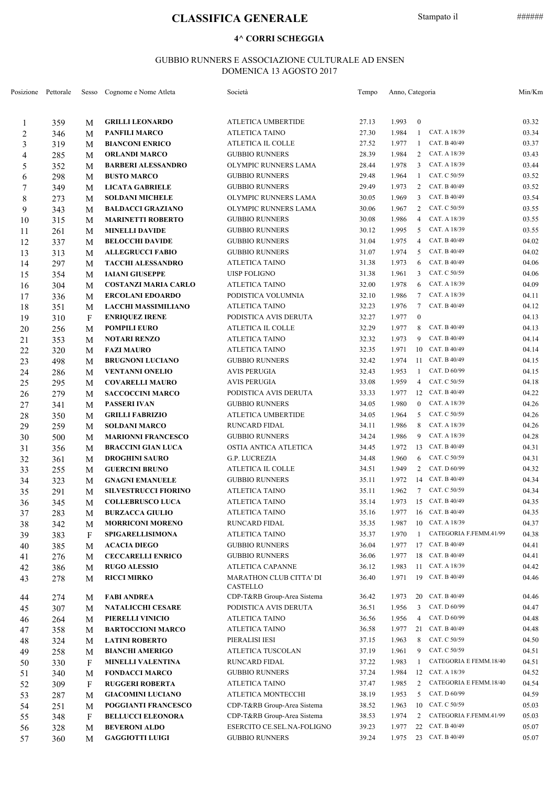# **CLASSIFICA GENERALE** Stampato il ######

#### **4^ CORRI SCHEGGIA**

### GUBBIO RUNNERS E ASSOCIAZIONE CULTURALE AD ENSEN DOMENICA 13 AGOSTO 2017

|                | Posizione Pettorale |   | Sesso Cognome e Nome Atleta | Società                                    | Tempo | Anno, Categoria |                  |                        | Min/Km |
|----------------|---------------------|---|-----------------------------|--------------------------------------------|-------|-----------------|------------------|------------------------|--------|
| 1              | 359                 | М | <b>GRILLI LEONARDO</b>      | ATLETICA UMBERTIDE                         | 27.13 | 1.993           | $\boldsymbol{0}$ |                        | 03.32  |
| $\overline{c}$ | 346                 | М | <b>PANFILI MARCO</b>        | <b>ATLETICA TAINO</b>                      | 27.30 | 1.984           | 1                | CAT. A 18/39           | 03.34  |
| 3              | 319                 | M | <b>BIANCONI ENRICO</b>      | ATLETICA IL COLLE                          | 27.52 | 1.977           | 1                | CAT. B 40/49           | 03.37  |
| 4              | 285                 | M | <b>ORLANDI MARCO</b>        | <b>GUBBIO RUNNERS</b>                      | 28.39 | 1.984           | 2                | CAT. A 18/39           | 03.43  |
| 5              | 352                 | М | <b>BARBERI ALESSANDRO</b>   | OLYMPIC RUNNERS LAMA                       | 28.44 | 1.978           | 3                | CAT. A 18/39           | 03.44  |
| 6              | 298                 | М | <b>BUSTO MARCO</b>          | <b>GUBBIO RUNNERS</b>                      | 29.48 | 1.964           | 1                | CAT. C 50/59           | 03.52  |
| 7              | 349                 | М | <b>LICATA GABRIELE</b>      | <b>GUBBIO RUNNERS</b>                      | 29.49 | 1.973           | 2                | CAT. B 40/49           | 03.52  |
| $8\,$          | 273                 | М | <b>SOLDANI MICHELE</b>      | OLYMPIC RUNNERS LAMA                       | 30.05 | 1.969           | 3                | CAT. B 40/49           | 03.54  |
|                |                     |   | <b>BALDACCI GRAZIANO</b>    | OLYMPIC RUNNERS LAMA                       | 30.06 | 1.967           | 2                | CAT. C 50/59           | 03.55  |
| 9              | 343                 | М | <b>MARINETTI ROBERTO</b>    | <b>GUBBIO RUNNERS</b>                      | 30.08 | 1.986           | 4                | CAT. A 18/39           | 03.55  |
| 10             | 315                 | М |                             |                                            | 30.12 | 1.995           | 5                | CAT. A 18/39           | 03.55  |
| 11             | 261                 | М | <b>MINELLI DAVIDE</b>       | <b>GUBBIO RUNNERS</b>                      |       |                 | 4                | CAT. B 40/49           |        |
| 12             | 337                 | М | <b>BELOCCHI DAVIDE</b>      | <b>GUBBIO RUNNERS</b>                      | 31.04 | 1.975           |                  | CAT. B 40/49           | 04.02  |
| 13             | 313                 | М | <b>ALLEGRUCCI FABIO</b>     | <b>GUBBIO RUNNERS</b>                      | 31.07 | 1.974           | 5                |                        | 04.02  |
| 14             | 297                 | М | <b>TACCHI ALESSANDRO</b>    | ATLETICA TAINO                             | 31.38 | 1.973           | 6                | CAT. B 40/49           | 04.06  |
| 15             | 354                 | М | <b>IAIANI GIUSEPPE</b>      | UISP FOLIGNO                               | 31.38 | 1.961           | 3                | CAT. C 50/59           | 04.06  |
| 16             | 304                 | М | <b>COSTANZI MARIA CARLO</b> | <b>ATLETICA TAINO</b>                      | 32.00 | 1.978           | 6                | CAT. A 18/39           | 04.09  |
| 17             | 336                 | М | <b>ERCOLANI EDOARDO</b>     | PODISTICA VOLUMNIA                         | 32.10 | 1.986           | 7                | CAT. A 18/39           | 04.11  |
| 18             | 351                 | М | <b>LACCHI MASSIMILIANO</b>  | ATLETICA TAINO                             | 32.23 | 1.976           | 7                | CAT. B 40/49           | 04.12  |
| 19             | 310                 | F | <b>ENRIQUEZ IRENE</b>       | PODISTICA AVIS DERUTA                      | 32.27 | 1.977           | $\boldsymbol{0}$ |                        | 04.13  |
| 20             | 256                 | М | <b>POMPILI EURO</b>         | ATLETICA IL COLLE                          | 32.29 | 1.977           | 8                | CAT. B 40/49           | 04.13  |
| 21             | 353                 | М | <b>NOTARI RENZO</b>         | <b>ATLETICA TAINO</b>                      | 32.32 | 1.973           | 9                | CAT. B 40/49           | 04.14  |
| 22             | 320                 | М | <b>FAZI MAURO</b>           | <b>ATLETICA TAINO</b>                      | 32.35 | 1.971           |                  | 10 CAT. B 40/49        | 04.14  |
| 23             | 498                 | М | <b>BRUGNONI LUCIANO</b>     | <b>GUBBIO RUNNERS</b>                      | 32.42 | 1.974           |                  | 11 CAT. B 40/49        | 04.15  |
| 24             | 286                 | М | <b>VENTANNI ONELIO</b>      | <b>AVIS PERUGIA</b>                        | 32.43 | 1.953           | 1                | CAT. D 60/99           | 04.15  |
| 25             | 295                 | М | <b>COVARELLI MAURO</b>      | <b>AVIS PERUGIA</b>                        | 33.08 | 1.959           | 4                | CAT. C 50/59           | 04.18  |
| 26             | 279                 | М | <b>SACCOCCINI MARCO</b>     | PODISTICA AVIS DERUTA                      | 33.33 | 1.977           | 12               | CAT. B 40/49           | 04.22  |
| 27             | 341                 | М | PASSERI IVAN                | <b>GUBBIO RUNNERS</b>                      | 34.05 | 1.980           | $\overline{0}$   | CAT. A 18/39           | 04.26  |
| 28             | 350                 | М | <b>GRILLI FABRIZIO</b>      | ATLETICA UMBERTIDE                         | 34.05 | 1.964           | 5                | CAT. C 50/59           | 04.26  |
| 29             | 259                 | М | <b>SOLDANI MARCO</b>        | RUNCARD FIDAL                              | 34.11 | 1.986           | 8                | CAT. A 18/39           | 04.26  |
| 30             | 500                 | М | <b>MARIONNI FRANCESCO</b>   | <b>GUBBIO RUNNERS</b>                      | 34.24 | 1.986           | 9                | CAT. A 18/39           | 04.28  |
| 31             | 356                 | М | <b>BRACCINI GIAN LUCA</b>   | OSTIA ANTICA ATLETICA                      | 34.45 | 1.972           | 13               | CAT. B 40/49           | 04.31  |
| 32             |                     | М | <b>DROGHINI SAURO</b>       | G.P. LUCREZIA                              | 34.48 | 1.960           | 6                | CAT. C 50/59           | 04.31  |
|                | 361                 |   | <b>GUERCINI BRUNO</b>       | ATLETICA IL COLLE                          | 34.51 | 1.949           | 2                | CAT. D 60/99           | 04.32  |
| 33             | 255                 | М |                             | <b>GUBBIO RUNNERS</b>                      | 35.11 | 1.972           | 14               | CAT. B 40/49           | 04.34  |
| 34             | 323                 | М | <b>GNAGNI EMANUELE</b>      |                                            | 35.11 | 1.962           |                  | 7 CAT. C 50/59         | 04.34  |
| 35             | 291                 | М | <b>SILVESTRUCCI FIORINO</b> | ATLETICA TAINO                             |       |                 |                  | 1.973 15 CAT. B 40/49  |        |
| 36             | 345                 | M | <b>COLLEBRUSCO LUCA</b>     | ATLETICA TAINO                             | 35.14 |                 |                  |                        | 04.35  |
| 37             | 283                 | M | <b>BURZACCA GIULIO</b>      | ATLETICA TAINO                             | 35.16 | 1.977           |                  | 16 CAT. B 40/49        | 04.35  |
| 38             | 342                 | М | <b>MORRICONI MORENO</b>     | <b>RUNCARD FIDAL</b>                       | 35.35 | 1.987           |                  | 10 CAT. A 18/39        | 04.37  |
| 39             | 383                 | F | SPIGARELLISIMONA            | <b>ATLETICA TAINO</b>                      | 35.37 | 1.970           | 1                | CATEGORIA F.FEMM.41/99 | 04.38  |
| 40             | 385                 | М | <b>ACACIA DIEGO</b>         | <b>GUBBIO RUNNERS</b>                      | 36.04 | 1.977           |                  | 17 CAT. B 40/49        | 04.41  |
| 41             | 276                 | М | <b>CECCARELLI ENRICO</b>    | <b>GUBBIO RUNNERS</b>                      | 36.06 | 1.977           |                  | 18 CAT. B 40/49        | 04.41  |
| 42             | 386                 | М | <b>RUGO ALESSIO</b>         | <b>ATLETICA CAPANNE</b>                    | 36.12 | 1.983           |                  | 11 CAT. A 18/39        | 04.42  |
| 43             | 278                 | М | <b>RICCI MIRKO</b>          | <b>MARATHON CLUB CITTA' DI</b><br>CASTELLO | 36.40 | 1.971           |                  | 19 CAT. B 40/49        | 04.46  |
| 44             | 274                 | M | <b>FABI ANDREA</b>          | CDP-T&RB Group-Area Sistema                | 36.42 | 1.973           |                  | 20 CAT. B 40/49        | 04.46  |
| 45             | 307                 | М | <b>NATALICCHI CESARE</b>    | PODISTICA AVIS DERUTA                      | 36.51 | 1.956           | 3                | CAT. D 60/99           | 04.47  |
| 46             | 264                 | М | PIERELLI VINICIO            | ATLETICA TAINO                             | 36.56 | 1.956           | 4                | CAT. D 60/99           | 04.48  |
| 47             | 358                 | М | <b>BARTOCCIONI MARCO</b>    | ATLETICA TAINO                             | 36.58 | 1.977           |                  | 21 CAT. B 40/49        | 04.48  |
| 48             | 324                 | М | <b>LATINI ROBERTO</b>       | PIERALISI IESI                             | 37.15 | 1.963           | 8                | CAT. C 50/59           | 04.50  |
| 49             | 258                 | М | <b>BIANCHI AMERIGO</b>      | ATLETICA TUSCOLAN                          | 37.19 | 1.961           | 9                | CAT. C 50/59           | 04.51  |
| 50             | 330                 | F | <b>MINELLI VALENTINA</b>    | RUNCARD FIDAL                              | 37.22 | 1.983           | 1                | CATEGORIA E FEMM.18/40 | 04.51  |
| 51             | 340                 | М | <b>FONDACCI MARCO</b>       | <b>GUBBIO RUNNERS</b>                      | 37.24 | 1.984           | 12               | CAT. A 18/39           | 04.52  |
| 52             | 309                 | F | <b>RUGGERI ROBERTA</b>      | <b>ATLETICA TAINO</b>                      | 37.47 | 1.985           | 2                | CATEGORIA E FEMM.18/40 | 04.54  |
| 53             | 287                 | М | <b>GIACOMINI LUCIANO</b>    | ATLETICA MONTECCHI                         | 38.19 | 1.953           | 5                | CAT. D 60/99           | 04.59  |
| 54             | 251                 | М | POGGIANTI FRANCESCO         | CDP-T&RB Group-Area Sistema                | 38.52 | 1.963           | 10               | CAT. C 50/59           | 05.03  |
| 55             | 348                 | F | <b>BELLUCCI ELEONORA</b>    | CDP-T&RB Group-Area Sistema                | 38.53 | 1.974           | 2                | CATEGORIA F.FEMM.41/99 | 05.03  |
| 56             | 328                 | M | <b>BEVERONI ALDO</b>        | ESERCITO CE.SEL.NA-FOLIGNO                 | 39.23 | 1.977           | 22               | CAT. B 40/49           | 05.07  |
|                |                     |   | <b>GAGGIOTTI LUIGI</b>      | <b>GUBBIO RUNNERS</b>                      | 39.24 | 1.975           |                  | 23 CAT. B 40/49        | 05.07  |
| 57             | 360                 | М |                             |                                            |       |                 |                  |                        |        |